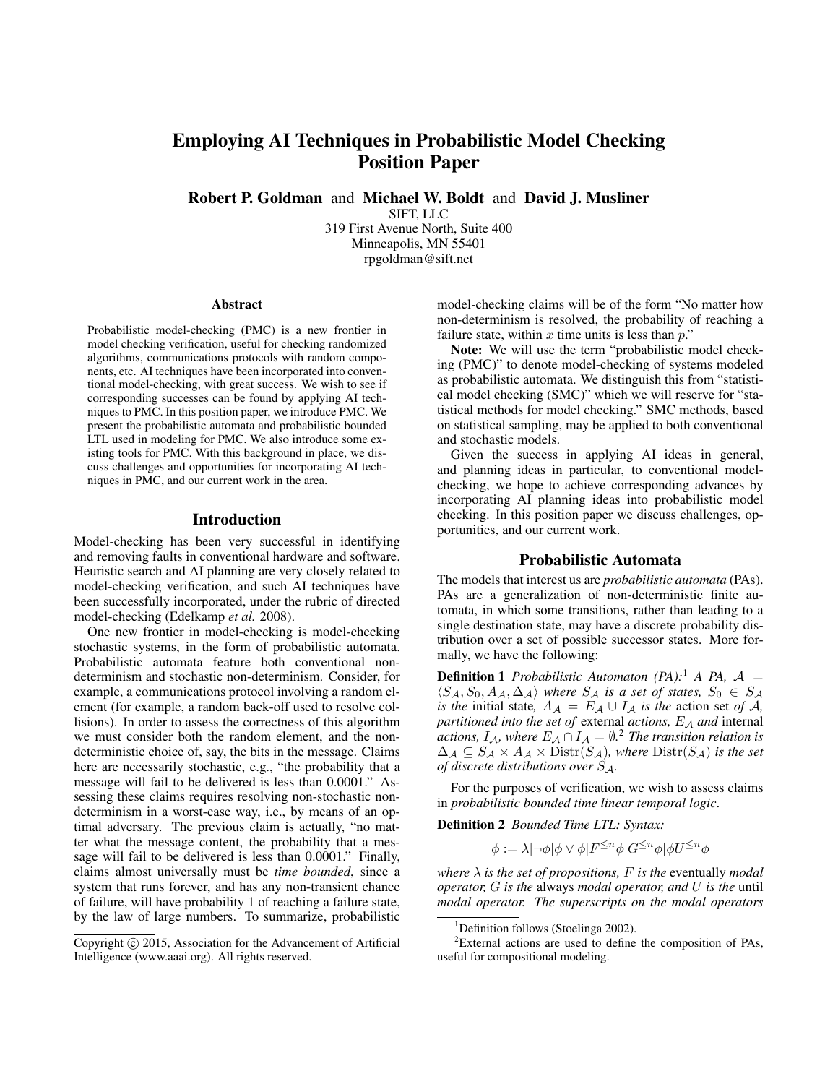# Employing AI Techniques in Probabilistic Model Checking Position Paper

Robert P. Goldman and Michael W. Boldt and David J. Musliner

SIFT, LLC

319 First Avenue North, Suite 400 Minneapolis, MN 55401 rpgoldman@sift.net

#### Abstract

Probabilistic model-checking (PMC) is a new frontier in model checking verification, useful for checking randomized algorithms, communications protocols with random components, etc. AI techniques have been incorporated into conventional model-checking, with great success. We wish to see if corresponding successes can be found by applying AI techniques to PMC. In this position paper, we introduce PMC. We present the probabilistic automata and probabilistic bounded LTL used in modeling for PMC. We also introduce some existing tools for PMC. With this background in place, we discuss challenges and opportunities for incorporating AI techniques in PMC, and our current work in the area.

### Introduction

Model-checking has been very successful in identifying and removing faults in conventional hardware and software. Heuristic search and AI planning are very closely related to model-checking verification, and such AI techniques have been successfully incorporated, under the rubric of directed model-checking (Edelkamp *et al.* 2008).

One new frontier in model-checking is model-checking stochastic systems, in the form of probabilistic automata. Probabilistic automata feature both conventional nondeterminism and stochastic non-determinism. Consider, for example, a communications protocol involving a random element (for example, a random back-off used to resolve collisions). In order to assess the correctness of this algorithm we must consider both the random element, and the nondeterministic choice of, say, the bits in the message. Claims here are necessarily stochastic, e.g., "the probability that a message will fail to be delivered is less than 0.0001." Assessing these claims requires resolving non-stochastic nondeterminism in a worst-case way, i.e., by means of an optimal adversary. The previous claim is actually, "no matter what the message content, the probability that a message will fail to be delivered is less than 0.0001." Finally, claims almost universally must be *time bounded*, since a system that runs forever, and has any non-transient chance of failure, will have probability 1 of reaching a failure state, by the law of large numbers. To summarize, probabilistic

model-checking claims will be of the form "No matter how non-determinism is resolved, the probability of reaching a failure state, within  $x$  time units is less than  $p$ ."

Note: We will use the term "probabilistic model checking (PMC)" to denote model-checking of systems modeled as probabilistic automata. We distinguish this from "statistical model checking (SMC)" which we will reserve for "statistical methods for model checking." SMC methods, based on statistical sampling, may be applied to both conventional and stochastic models.

Given the success in applying AI ideas in general, and planning ideas in particular, to conventional modelchecking, we hope to achieve corresponding advances by incorporating AI planning ideas into probabilistic model checking. In this position paper we discuss challenges, opportunities, and our current work.

### Probabilistic Automata

The models that interest us are *probabilistic automata* (PAs). PAs are a generalization of non-deterministic finite automata, in which some transitions, rather than leading to a single destination state, may have a discrete probability distribution over a set of possible successor states. More formally, we have the following:

**Definition 1** *Probabilistic Automaton (PA)*:<sup>1</sup> *A PA, A =*  $\langle S_A, S_0, A_{\mathcal{A}}, \Delta_{\mathcal{A}} \rangle$  *where*  $S_{\mathcal{A}}$  *is a set of states,*  $S_0 \in S_{\mathcal{A}}$ *is the* initial state,  $A_A = E_A \cup I_A$  *is the* action set *of* A, *partitioned into the set of external actions, E<sub>A</sub> and internal actions,*  $I_A$ *, where*  $E_A \cap I_A = \emptyset$ .<sup>2</sup> *The transition relation is*  $\Delta_{\mathcal{A}} \subseteq S_{\mathcal{A}} \times A_{\mathcal{A}} \times \text{Distr}(S_{\mathcal{A}})$ *, where*  $\text{Distr}(S_{\mathcal{A}})$  *is the set of discrete distributions over* SA*.*

For the purposes of verification, we wish to assess claims in *probabilistic bounded time linear temporal logic*.

Definition 2 *Bounded Time LTL: Syntax:*

 $\phi:=\lambda|\neg\phi|\phi\vee\phi|F^{\leq n}\phi|G^{\leq n}\phi|\phi U^{\leq n}\phi|$ 

*where*  $\lambda$  *is the set of propositions,*  $F$  *is the eventually modal operator,* G *is the* always *modal operator, and* U *is the* until *modal operator. The superscripts on the modal operators*

Copyright  $\odot$  2015, Association for the Advancement of Artificial Intelligence (www.aaai.org). All rights reserved.

<sup>&</sup>lt;sup>1</sup>Definition follows (Stoelinga 2002).

 ${}^{2}$ External actions are used to define the composition of PAs, useful for compositional modeling.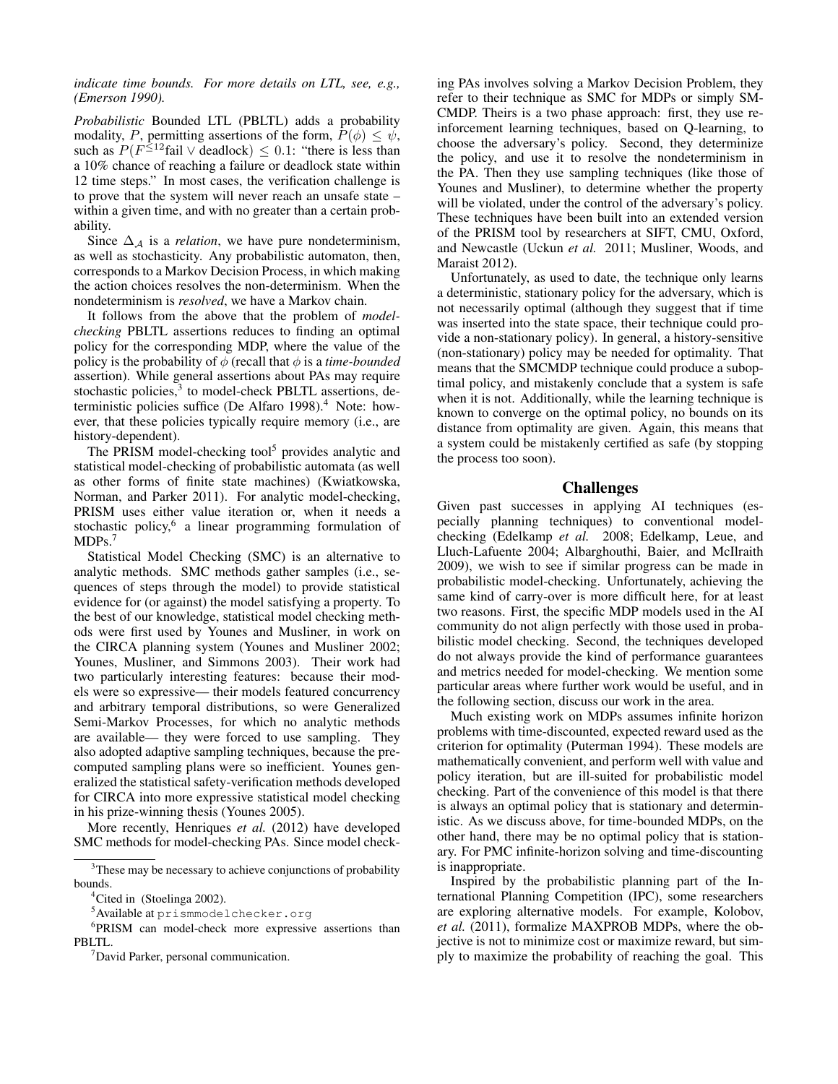*indicate time bounds. For more details on LTL, see, e.g., (Emerson 1990).*

*Probabilistic* Bounded LTL (PBLTL) adds a probability modality, P, permitting assertions of the form,  $P(\phi) \leq \psi$ , such as  $P(F^{\leq 12}$ fail  $\vee$  deadlock)  $\leq 0.1$ : "there is less than a 10% chance of reaching a failure or deadlock state within 12 time steps." In most cases, the verification challenge is to prove that the system will never reach an unsafe state – within a given time, and with no greater than a certain probability.

Since  $\Delta_A$  is a *relation*, we have pure nondeterminism, as well as stochasticity. Any probabilistic automaton, then, corresponds to a Markov Decision Process, in which making the action choices resolves the non-determinism. When the nondeterminism is *resolved*, we have a Markov chain.

It follows from the above that the problem of *modelchecking* PBLTL assertions reduces to finding an optimal policy for the corresponding MDP, where the value of the policy is the probability of  $\phi$  (recall that  $\phi$  is a *time-bounded* assertion). While general assertions about PAs may require stochastic policies,<sup>3</sup> to model-check PBLTL assertions, deterministic policies suffice (De Alfaro 1998).<sup>4</sup> Note: however, that these policies typically require memory (i.e., are history-dependent).

The PRISM model-checking tool<sup>5</sup> provides analytic and statistical model-checking of probabilistic automata (as well as other forms of finite state machines) (Kwiatkowska, Norman, and Parker 2011). For analytic model-checking, PRISM uses either value iteration or, when it needs a stochastic policy,<sup>6</sup> a linear programming formulation of MDP<sub>s.<sup>7</sup></sub>

Statistical Model Checking (SMC) is an alternative to analytic methods. SMC methods gather samples (i.e., sequences of steps through the model) to provide statistical evidence for (or against) the model satisfying a property. To the best of our knowledge, statistical model checking methods were first used by Younes and Musliner, in work on the CIRCA planning system (Younes and Musliner 2002; Younes, Musliner, and Simmons 2003). Their work had two particularly interesting features: because their models were so expressive— their models featured concurrency and arbitrary temporal distributions, so were Generalized Semi-Markov Processes, for which no analytic methods are available— they were forced to use sampling. They also adopted adaptive sampling techniques, because the precomputed sampling plans were so inefficient. Younes generalized the statistical safety-verification methods developed for CIRCA into more expressive statistical model checking in his prize-winning thesis (Younes 2005).

More recently, Henriques *et al.* (2012) have developed SMC methods for model-checking PAs. Since model check-

ing PAs involves solving a Markov Decision Problem, they refer to their technique as SMC for MDPs or simply SM-CMDP. Theirs is a two phase approach: first, they use reinforcement learning techniques, based on Q-learning, to choose the adversary's policy. Second, they determinize the policy, and use it to resolve the nondeterminism in the PA. Then they use sampling techniques (like those of Younes and Musliner), to determine whether the property will be violated, under the control of the adversary's policy. These techniques have been built into an extended version of the PRISM tool by researchers at SIFT, CMU, Oxford, and Newcastle (Uckun *et al.* 2011; Musliner, Woods, and Maraist 2012).

Unfortunately, as used to date, the technique only learns a deterministic, stationary policy for the adversary, which is not necessarily optimal (although they suggest that if time was inserted into the state space, their technique could provide a non-stationary policy). In general, a history-sensitive (non-stationary) policy may be needed for optimality. That means that the SMCMDP technique could produce a suboptimal policy, and mistakenly conclude that a system is safe when it is not. Additionally, while the learning technique is known to converge on the optimal policy, no bounds on its distance from optimality are given. Again, this means that a system could be mistakenly certified as safe (by stopping the process too soon).

### Challenges

Given past successes in applying AI techniques (especially planning techniques) to conventional modelchecking (Edelkamp *et al.* 2008; Edelkamp, Leue, and Lluch-Lafuente 2004; Albarghouthi, Baier, and McIlraith 2009), we wish to see if similar progress can be made in probabilistic model-checking. Unfortunately, achieving the same kind of carry-over is more difficult here, for at least two reasons. First, the specific MDP models used in the AI community do not align perfectly with those used in probabilistic model checking. Second, the techniques developed do not always provide the kind of performance guarantees and metrics needed for model-checking. We mention some particular areas where further work would be useful, and in the following section, discuss our work in the area.

Much existing work on MDPs assumes infinite horizon problems with time-discounted, expected reward used as the criterion for optimality (Puterman 1994). These models are mathematically convenient, and perform well with value and policy iteration, but are ill-suited for probabilistic model checking. Part of the convenience of this model is that there is always an optimal policy that is stationary and deterministic. As we discuss above, for time-bounded MDPs, on the other hand, there may be no optimal policy that is stationary. For PMC infinite-horizon solving and time-discounting is inappropriate.

Inspired by the probabilistic planning part of the International Planning Competition (IPC), some researchers are exploring alternative models. For example, Kolobov, *et al.* (2011), formalize MAXPROB MDPs, where the objective is not to minimize cost or maximize reward, but simply to maximize the probability of reaching the goal. This

<sup>&</sup>lt;sup>3</sup>These may be necessary to achieve conjunctions of probability bounds.

<sup>&</sup>lt;sup>4</sup>Cited in (Stoelinga 2002).

<sup>&</sup>lt;sup>5</sup>Available at prismmodelchecker.org

<sup>6</sup> PRISM can model-check more expressive assertions than PBLTL.

<sup>7</sup>David Parker, personal communication.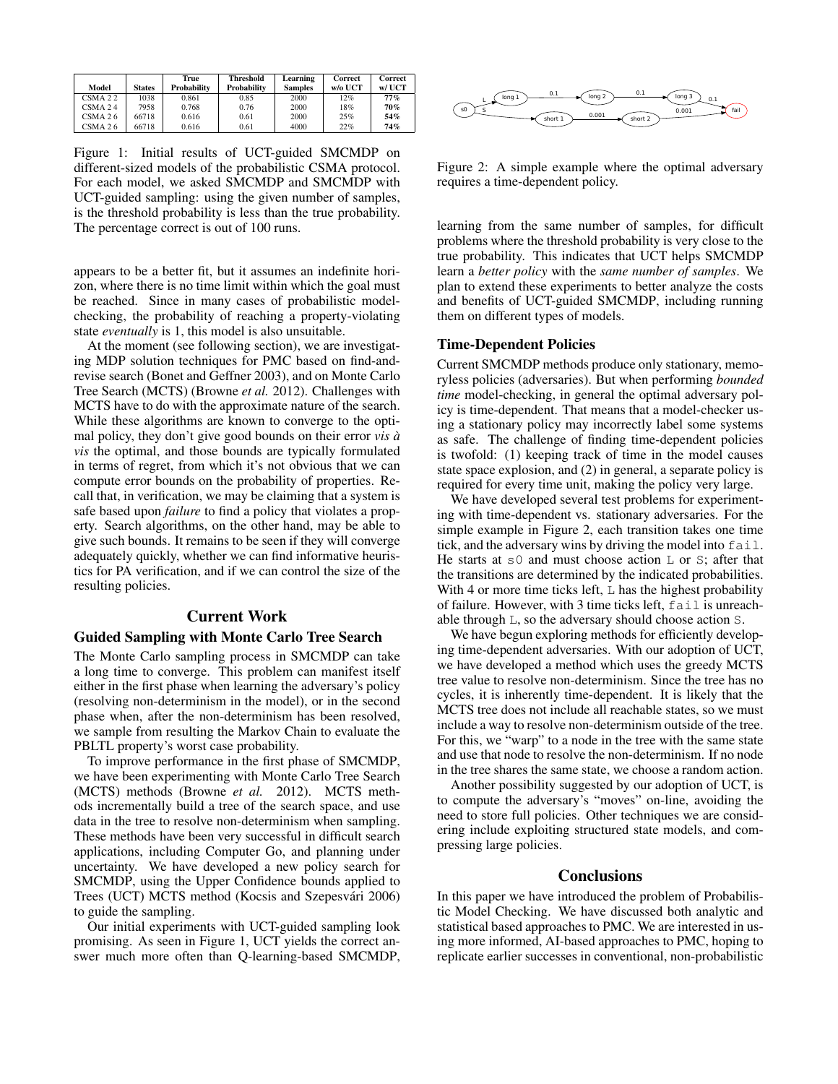|            |               | True        | <b>Threshold</b>   | Learning       | Correct | Correct  |
|------------|---------------|-------------|--------------------|----------------|---------|----------|
| Model      | <b>States</b> | Probability | <b>Probability</b> | <b>Samples</b> | w/o UCT | $W/$ UCT |
| $CSMA$ 2.2 | 1038          | 0.861       | 0.85               | 2000           | 12%     | 77%      |
| $CSMA$ 2.4 | 7958          | 0.768       | 0.76               | 2000           | 18%     | 70%      |
| CSMA 26    | 66718         | 0.616       | 0.61               | 2000           | 25%     | 54%      |
| CSMA 26    | 66718         | 0.616       | 0.61               | 4000           | 22%     | 74%      |

Figure 1: Initial results of UCT-guided SMCMDP on different-sized models of the probabilistic CSMA protocol. For each model, we asked SMCMDP and SMCMDP with UCT-guided sampling: using the given number of samples, is the threshold probability is less than the true probability. The percentage correct is out of 100 runs.

appears to be a better fit, but it assumes an indefinite horizon, where there is no time limit within which the goal must be reached. Since in many cases of probabilistic modelchecking, the probability of reaching a property-violating state *eventually* is 1, this model is also unsuitable.

At the moment (see following section), we are investigating MDP solution techniques for PMC based on find-andrevise search (Bonet and Geffner 2003), and on Monte Carlo Tree Search (MCTS) (Browne *et al.* 2012). Challenges with MCTS have to do with the approximate nature of the search. While these algorithms are known to converge to the optimal policy, they don't give good bounds on their error *vis a` vis* the optimal, and those bounds are typically formulated in terms of regret, from which it's not obvious that we can compute error bounds on the probability of properties. Recall that, in verification, we may be claiming that a system is safe based upon *failure* to find a policy that violates a property. Search algorithms, on the other hand, may be able to give such bounds. It remains to be seen if they will converge adequately quickly, whether we can find informative heuristics for PA verification, and if we can control the size of the resulting policies.

## Current Work

# Guided Sampling with Monte Carlo Tree Search

The Monte Carlo sampling process in SMCMDP can take a long time to converge. This problem can manifest itself either in the first phase when learning the adversary's policy (resolving non-determinism in the model), or in the second phase when, after the non-determinism has been resolved, we sample from resulting the Markov Chain to evaluate the PBLTL property's worst case probability.

To improve performance in the first phase of SMCMDP, we have been experimenting with Monte Carlo Tree Search (MCTS) methods (Browne *et al.* 2012). MCTS methods incrementally build a tree of the search space, and use data in the tree to resolve non-determinism when sampling. These methods have been very successful in difficult search applications, including Computer Go, and planning under uncertainty. We have developed a new policy search for SMCMDP, using the Upper Confidence bounds applied to Trees (UCT) MCTS method (Kocsis and Szepesvári 2006) to guide the sampling.

Our initial experiments with UCT-guided sampling look promising. As seen in Figure 1, UCT yields the correct answer much more often than Q-learning-based SMCMDP,



Figure 2: A simple example where the optimal adversary requires a time-dependent policy.

learning from the same number of samples, for difficult problems where the threshold probability is very close to the true probability. This indicates that UCT helps SMCMDP learn a *better policy* with the *same number of samples*. We plan to extend these experiments to better analyze the costs and benefits of UCT-guided SMCMDP, including running them on different types of models.

### Time-Dependent Policies

Current SMCMDP methods produce only stationary, memoryless policies (adversaries). But when performing *bounded time* model-checking, in general the optimal adversary policy is time-dependent. That means that a model-checker using a stationary policy may incorrectly label some systems as safe. The challenge of finding time-dependent policies is twofold: (1) keeping track of time in the model causes state space explosion, and (2) in general, a separate policy is required for every time unit, making the policy very large.

We have developed several test problems for experimenting with time-dependent vs. stationary adversaries. For the simple example in Figure 2, each transition takes one time tick, and the adversary wins by driving the model into fail. He starts at  $\leq 0$  and must choose action L or S; after that the transitions are determined by the indicated probabilities. With 4 or more time ticks left,  $\mathbb L$  has the highest probability of failure. However, with 3 time ticks left, fail is unreachable through L, so the adversary should choose action S.

We have begun exploring methods for efficiently developing time-dependent adversaries. With our adoption of UCT, we have developed a method which uses the greedy MCTS tree value to resolve non-determinism. Since the tree has no cycles, it is inherently time-dependent. It is likely that the MCTS tree does not include all reachable states, so we must include a way to resolve non-determinism outside of the tree. For this, we "warp" to a node in the tree with the same state and use that node to resolve the non-determinism. If no node in the tree shares the same state, we choose a random action.

Another possibility suggested by our adoption of UCT, is to compute the adversary's "moves" on-line, avoiding the need to store full policies. Other techniques we are considering include exploiting structured state models, and compressing large policies.

# **Conclusions**

In this paper we have introduced the problem of Probabilistic Model Checking. We have discussed both analytic and statistical based approaches to PMC. We are interested in using more informed, AI-based approaches to PMC, hoping to replicate earlier successes in conventional, non-probabilistic